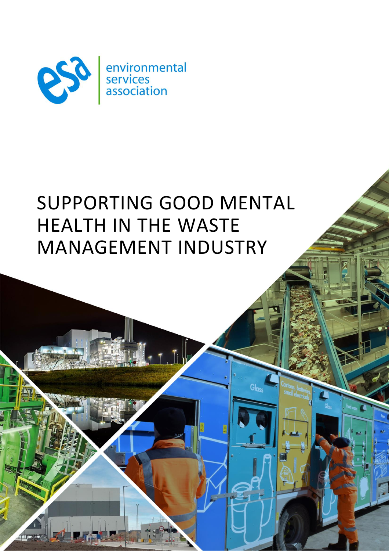

# SUPPORTING GOOD MENTAL HEALTH IN THE WASTE MANAGEMENT INDUSTRY

 $I, J$ 

Glass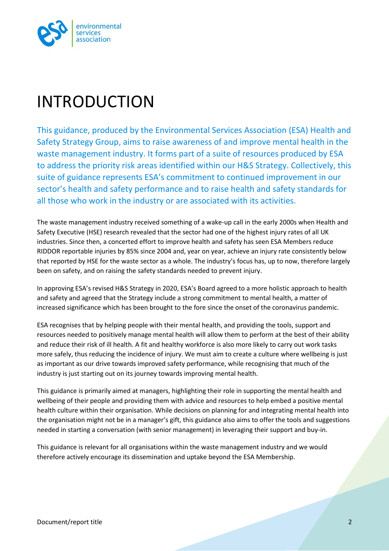

## <span id="page-1-0"></span>INTRODUCTION

This guidance, produced by the Environmental Services Association (ESA) Health and Safety Strategy Group, aims to raise awareness of and improve mental health in the waste management industry. It forms part of a suite of resources produced by ESA to address the priority risk areas identified within our H&S Strategy. Collectively, this suite of guidance represents ESA's commitment to continued improvement in our sector's health and safety performance and to raise health and safety standards for all those who work in the industry or are associated with its activities.

The waste management industry received something of a wake-up call in the early 2000s when Health and Safety Executive (HSE) research revealed that the sector had one of the highest injury rates of all UK industries. Since then, a concerted effort to improve health and safety has seen ESA Members reduce RIDDOR reportable injuries by 85% since 2004 and, year on year, achieve an injury rate consistently below that reported by HSE for the waste sector as a whole. The industry's focus has, up to now, therefore largely been on safety, and on raising the safety standards needed to prevent injury.

In approving ESA's revised H&S Strategy in 2020, ESA's Board agreed to a more holistic approach to health and safety and agreed that the Strategy include a strong commitment to mental health, a matter of increased significance which has been brought to the fore since the onset of the coronavirus pandemic.

ESA recognises that by helping people with their mental health, and providing the tools, support and resources needed to positively manage mental health will allow them to perform at the best of their ability and reduce their risk of ill health. A fit and healthy workforce is also more likely to carry out work tasks more safely, thus reducing the incidence of injury. We must aim to create a culture where wellbeing is just as important as our drive towards improved safety performance, while recognising that much of the industry is just starting out on its journey towards improving mental health.

This guidance is primarily aimed at managers, highlighting their role in supporting the mental health and wellbeing of their people and providing them with advice and resources to help embed a positive mental health culture within their organisation. While decisions on planning for and integrating mental health into the organisation might not be in a manager's gift, this guidance also aims to offer the tools and suggestions needed in starting a conversation (with senior management) in leveraging their support and buy-in.

This guidance is relevant for all organisations within the waste management industry and we would therefore actively encourage its dissemination and uptake beyond the ESA Membership.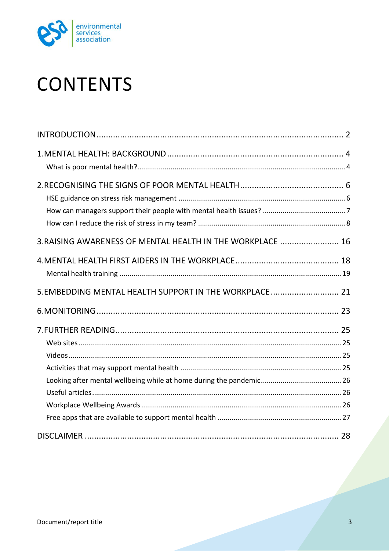

# **CONTENTS**

| 3. RAISING AWARENESS OF MENTAL HEALTH IN THE WORKPLACE  16 |  |
|------------------------------------------------------------|--|
|                                                            |  |
| 5. EMBEDDING MENTAL HEALTH SUPPORT IN THE WORKPLACE 21     |  |
|                                                            |  |
|                                                            |  |
|                                                            |  |
|                                                            |  |
|                                                            |  |
|                                                            |  |
|                                                            |  |
|                                                            |  |
|                                                            |  |
|                                                            |  |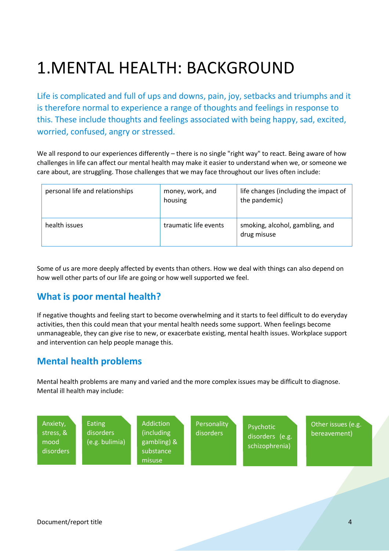# <span id="page-3-0"></span>1.MENTAL HEALTH: BACKGROUND

Life is complicated and full of ups and downs, pain, joy, setbacks and triumphs and it is therefore normal to experience a range of thoughts and feelings in response to this. These include thoughts and feelings associated with being happy, sad, excited, worried, confused, angry or stressed.

We all respond to our experiences differently – there is no single "right way" to react. Being aware of how challenges in life can affect our mental health may make it easier to understand when we, or someone we care about, are struggling. Those challenges that we may face throughout our lives often include:

| personal life and relationships | money, work, and<br>housing | life changes (including the impact of<br>the pandemic) |
|---------------------------------|-----------------------------|--------------------------------------------------------|
| health issues                   | traumatic life events       | smoking, alcohol, gambling, and<br>drug misuse         |

Some of us are more deeply affected by events than others. How we deal with things can also depend on how well other parts of our life are going or how well supported we feel.

#### <span id="page-3-1"></span>**What is poor mental health?**

If negative thoughts and feeling start to become overwhelming and it starts to feel difficult to do everyday activities, then this could mean that your mental health needs some support. When feelings become unmanageable, they can give rise to new, or exacerbate existing, mental health issues. Workplace support and intervention can help people manage this.

#### **Mental health problems**

Mental health problems are many and varied and the more complex issues may be difficult to diagnose. Mental ill health may include:

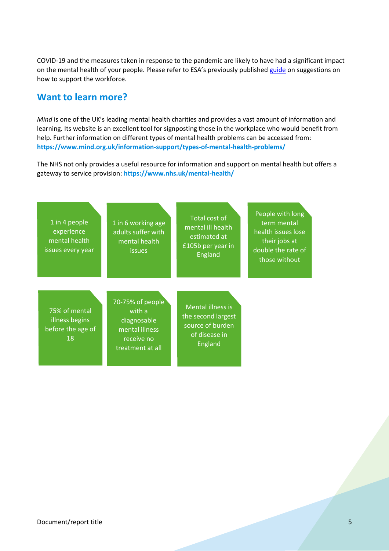COVID-19 and the measures taken in response to the pandemic are likely to have had a significant impact on the mental health of your people. Please refer to ESA's previously published [guide](https://www.esauk.org/application/files/5316/3301/2413/ESA_COVID19_mental_health_guidance_Sept21_update.pdf) on suggestions on how to support the workforce.

#### **Want to learn more?**

*Mind* is one of the UK's leading mental health charities and provides a vast amount of information and learning. Its website is an excellent tool for signposting those in the workplace who would benefit from help. Further information on different types of mental health problems can be accessed from: **<https://www.mind.org.uk/information-support/types-of-mental-health-problems/>**

The NHS not only provides a useful resource for information and support on mental health but offers a gateway to service provision: **<https://www.nhs.uk/mental-health/>**

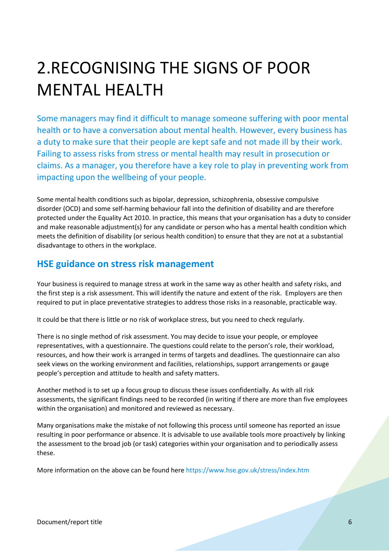# <span id="page-5-0"></span>2.RECOGNISING THE SIGNS OF POOR MENTAL HEALTH

Some managers may find it difficult to manage someone suffering with poor mental health or to have a conversation about mental health. However, every business has a duty to make sure that their people are kept safe and not made ill by their work. Failing to assess risks from stress or mental health may result in prosecution or claims. As a manager, you therefore have a key role to play in preventing work from impacting upon the wellbeing of your people.

Some mental health conditions such as bipolar, depression, schizophrenia, obsessive compulsive disorder (OCD) and some self-harming behaviour fall into the definition of disability and are therefore protected under the Equality Act 2010. In practice, this means that your organisation has a duty to consider and make reasonable adjustment(s) for any candidate or person who has a mental health condition which meets the definition of disability (or serious health condition) to ensure that they are not at a substantial disadvantage to others in the workplace.

#### <span id="page-5-1"></span>**HSE guidance on stress risk management**

Your business is required to manage stress at work in the same way as other health and safety risks, and the first step is a risk assessment. This will identify the nature and extent of the risk. Employers are then required to put in place preventative strategies to address those risks in a reasonable, practicable way.

It could be that there is little or no risk of workplace stress, but you need to check regularly.

There is no single method of risk assessment. You may decide to issue your people, or employee representatives, with a questionnaire. The questions could relate to the person's role, their workload, resources, and how their work is arranged in terms of targets and deadlines. The questionnaire can also seek views on the working environment and facilities, relationships, support arrangements or gauge people's perception and attitude to health and safety matters.

Another method is to set up a focus group to discuss these issues confidentially. As with all risk assessments, the significant findings need to be recorded (in writing if there are more than five employees within the organisation) and monitored and reviewed as necessary.

Many organisations make the mistake of not following this process until someone has reported an issue resulting in poor performance or absence. It is advisable to use available tools more proactively by linking the assessment to the broad job (or task) categories within your organisation and to periodically assess these.

More information on the above can be found here<https://www.hse.gov.uk/stress/index.htm>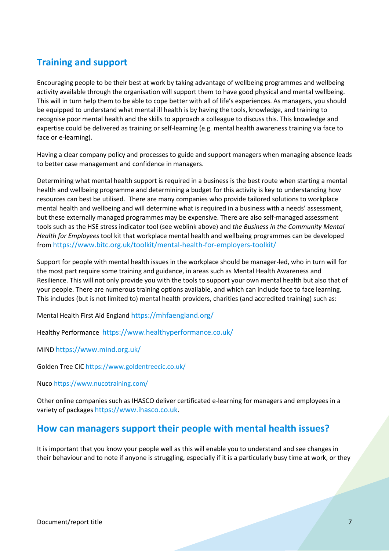## **Training and support**

Encouraging people to be their best at work by taking advantage of wellbeing programmes and wellbeing activity available through the organisation will support them to have good physical and mental wellbeing. This will in turn help them to be able to cope better with all of life's experiences. As managers, you should be equipped to understand what mental ill health is by having the tools, knowledge, and training to recognise poor mental health and the skills to approach a colleague to discuss this. This knowledge and expertise could be delivered as training or self-learning (e.g. mental health awareness training via face to face or e-learning).

Having a clear company policy and processes to guide and support managers when managing absence leads to better case management and confidence in managers.

Determining what mental health support is required in a business is the best route when starting a mental health and wellbeing programme and determining a budget for this activity is key to understanding how resources can best be utilised. There are many companies who provide tailored solutions to workplace mental health and wellbeing and will determine what is required in a business with a needs' assessment, but these externally managed programmes may be expensive. There are also self-managed assessment tools such as the HSE stress indicator tool (see weblink above) and *the Business in the Community Mental Health for Employees* tool kit that workplace mental health and wellbeing programmes can be developed from <https://www.bitc.org.uk/toolkit/mental-health-for-employers-toolkit/>

Support for people with mental health issues in the workplace should be manager-led, who in turn will for the most part require some training and guidance, in areas such as Mental Health Awareness and Resilience. This will not only provide you with the tools to support your own mental health but also that of your people. There are numerous training options available, and which can include face to face learning. This includes (but is not limited to) mental health providers, charities (and accredited training) such as:

Mental Health First Aid England <https://mhfaengland.org/>

Healthy Performance <https://www.healthyperformance.co.uk/>

MIND <https://www.mind.org.uk/>

Golden Tree CIC<https://www.goldentreecic.co.uk/>

Nuco<https://www.nucotraining.com/>

Other online companies such as IHASCO deliver certificated e-learning for managers and employees in a variety of packages [https://www.ihasco.co.uk](https://www.ihasco.co.uk/).

#### <span id="page-6-0"></span>**How can managers support their people with mental health issues?**

It is important that you know your people well as this will enable you to understand and see changes in their behaviour and to note if anyone is struggling, especially if it is a particularly busy time at work, or they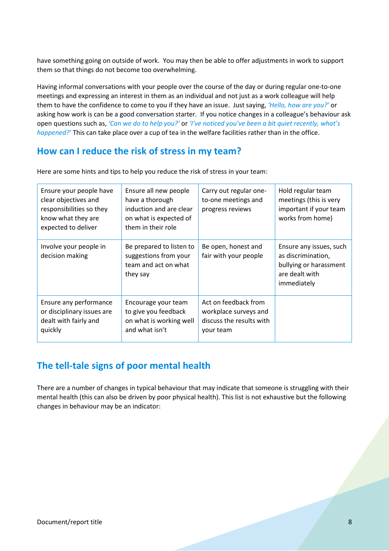have something going on outside of work. You may then be able to offer adjustments in work to support them so that things do not become too overwhelming.

Having informal conversations with your people over the course of the day or during regular one-to-one meetings and expressing an interest in them as an individual and not just as a work colleague will help them to have the confidence to come to you if they have an issue. Just saying, *'Hello, how are you?'* or asking how work is can be a good conversation starter. If you notice changes in a colleague's behaviour ask open questions such as, *'Can we do to help you?'* or *'I've noticed you've been a bit quiet recently, what's happened?'* This can take place over a cup of tea in the welfare facilities rather than in the office.

#### <span id="page-7-0"></span>**How can I reduce the risk of stress in my team?**

| Ensure your people have<br>clear objectives and<br>responsibilities so they<br>know what they are<br>expected to deliver | Ensure all new people<br>have a thorough<br>induction and are clear<br>on what is expected of<br>them in their role | Carry out regular one-<br>to-one meetings and<br>progress reviews                      | Hold regular team<br>meetings (this is very<br>important if your team<br>works from home)                |
|--------------------------------------------------------------------------------------------------------------------------|---------------------------------------------------------------------------------------------------------------------|----------------------------------------------------------------------------------------|----------------------------------------------------------------------------------------------------------|
| Involve your people in<br>decision making                                                                                | Be prepared to listen to<br>suggestions from your<br>team and act on what<br>they say                               | Be open, honest and<br>fair with your people                                           | Ensure any issues, such<br>as discrimination,<br>bullying or harassment<br>are dealt with<br>immediately |
| Ensure any performance<br>or disciplinary issues are<br>dealt with fairly and<br>quickly                                 | Encourage your team<br>to give you feedback<br>on what is working well<br>and what isn't                            | Act on feedback from<br>workplace surveys and<br>discuss the results with<br>your team |                                                                                                          |

Here are some hints and tips to help you reduce the risk of stress in your team:

### **The tell-tale signs of poor mental health**

There are a number of changes in typical behaviour that may indicate that someone is struggling with their mental health (this can also be driven by poor physical health). This list is not exhaustive but the following changes in behaviour may be an indicator: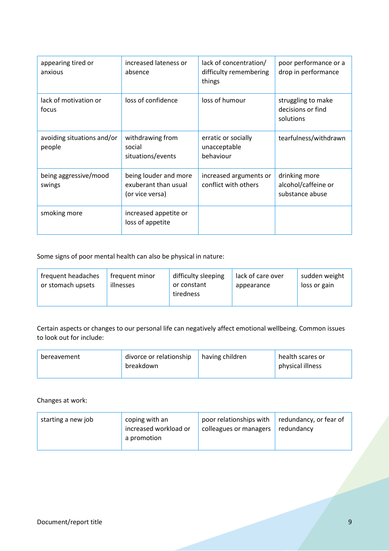| appearing tired or<br>anxious        | increased lateness or<br>absence                                 | lack of concentration/<br>difficulty remembering<br>things | poor performance or a<br>drop in performance            |
|--------------------------------------|------------------------------------------------------------------|------------------------------------------------------------|---------------------------------------------------------|
| lack of motivation or<br>focus       | loss of confidence                                               | loss of humour                                             | struggling to make<br>decisions or find<br>solutions    |
| avoiding situations and/or<br>people | withdrawing from<br>social<br>situations/events                  | erratic or socially<br>unacceptable<br>behaviour           | tearfulness/withdrawn                                   |
| being aggressive/mood<br>swings      | being louder and more<br>exuberant than usual<br>(or vice versa) | increased arguments or<br>conflict with others             | drinking more<br>alcohol/caffeine or<br>substance abuse |
| smoking more                         | increased appetite or<br>loss of appetite                        |                                                            |                                                         |

Some signs of poor mental health can also be physical in nature:

| frequent headaches<br>frequent minor<br>or stomach upsets<br>illnesses | difficulty sleeping<br>or constant<br>tiredness | lack of care over<br>appearance | sudden weight<br>loss or gain |
|------------------------------------------------------------------------|-------------------------------------------------|---------------------------------|-------------------------------|
|------------------------------------------------------------------------|-------------------------------------------------|---------------------------------|-------------------------------|

Certain aspects or changes to our personal life can negatively affect emotional wellbeing. Common issues to look out for include:

| bereavement | divorce or relationship<br>breakdown | having children | health scares or<br>physical illness |
|-------------|--------------------------------------|-----------------|--------------------------------------|
|             |                                      |                 |                                      |

Changes at work:

| coping with an<br>starting a new job<br>increased workload or<br>a promotion | poor relationships with<br>colleagues or managers | $\vert$ redundancy, or fear of<br>redundancy |
|------------------------------------------------------------------------------|---------------------------------------------------|----------------------------------------------|
|------------------------------------------------------------------------------|---------------------------------------------------|----------------------------------------------|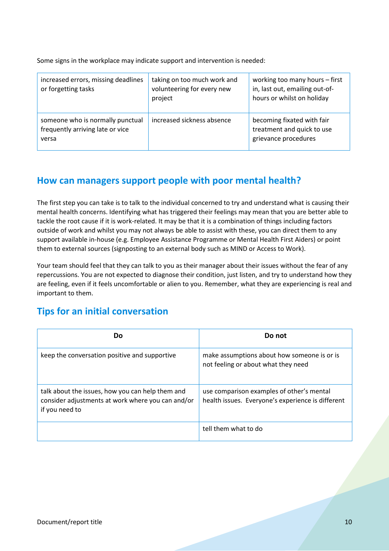Some signs in the workplace may indicate support and intervention is needed:

| increased errors, missing deadlines<br>or forgetting tasks                    | taking on too much work and<br>volunteering for every new<br>project | working too many hours - first<br>in, last out, emailing out-of-<br>hours or whilst on holiday |
|-------------------------------------------------------------------------------|----------------------------------------------------------------------|------------------------------------------------------------------------------------------------|
| someone who is normally punctual<br>frequently arriving late or vice<br>versa | increased sickness absence                                           | becoming fixated with fair<br>treatment and quick to use<br>grievance procedures               |

#### **How can managers support people with poor mental health?**

The first step you can take is to talk to the individual concerned to try and understand what is causing their mental health concerns. Identifying what has triggered their feelings may mean that you are better able to tackle the root cause if it is work-related. It may be that it is a combination of things including factors outside of work and whilst you may not always be able to assist with these, you can direct them to any support available in-house (e.g. Employee Assistance Programme or Mental Health First Aiders) or point them to external sources (signposting to an external body such as MIND or Access to Work).

Your team should feel that they can talk to you as their manager about their issues without the fear of any repercussions. You are not expected to diagnose their condition, just listen, and try to understand how they are feeling, even if it feels uncomfortable or alien to you. Remember, what they are experiencing is real and important to them.

### **Tips for an initial conversation**

| Dο                                                                                                                      | Do not                                                                                         |
|-------------------------------------------------------------------------------------------------------------------------|------------------------------------------------------------------------------------------------|
| keep the conversation positive and supportive                                                                           | make assumptions about how someone is or is<br>not feeling or about what they need             |
| talk about the issues, how you can help them and<br>consider adjustments at work where you can and/or<br>if you need to | use comparison examples of other's mental<br>health issues. Everyone's experience is different |
|                                                                                                                         | tell them what to do                                                                           |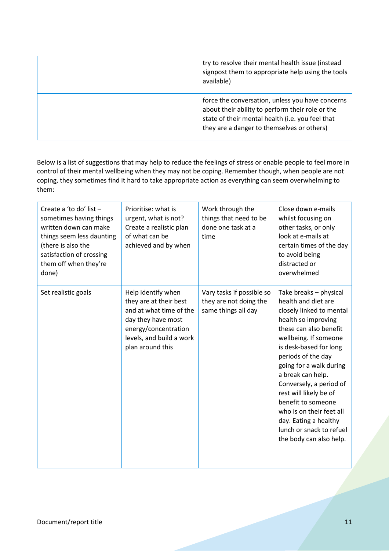| try to resolve their mental health issue (instead<br>signpost them to appropriate help using the tools<br>available)                                                                                   |
|--------------------------------------------------------------------------------------------------------------------------------------------------------------------------------------------------------|
| force the conversation, unless you have concerns<br>about their ability to perform their role or the<br>state of their mental health (i.e. you feel that<br>they are a danger to themselves or others) |

Below is a list of suggestions that may help to reduce the feelings of stress or enable people to feel more in control of their mental wellbeing when they may not be coping. Remember though, when people are not coping, they sometimes find it hard to take appropriate action as everything can seem overwhelming to them:

| Create a 'to do' list -<br>sometimes having things<br>written down can make<br>things seem less daunting<br>(there is also the<br>satisfaction of crossing<br>them off when they're<br>done) | Prioritise: what is<br>urgent, what is not?<br>Create a realistic plan<br>of what can be<br>achieved and by when                                                      | Work through the<br>things that need to be<br>done one task at a<br>time   | Close down e-mails<br>whilst focusing on<br>other tasks, or only<br>look at e-mails at<br>certain times of the day<br>to avoid being<br>distracted or<br>overwhelmed                                                                                                                                                                                                                                                                       |
|----------------------------------------------------------------------------------------------------------------------------------------------------------------------------------------------|-----------------------------------------------------------------------------------------------------------------------------------------------------------------------|----------------------------------------------------------------------------|--------------------------------------------------------------------------------------------------------------------------------------------------------------------------------------------------------------------------------------------------------------------------------------------------------------------------------------------------------------------------------------------------------------------------------------------|
| Set realistic goals                                                                                                                                                                          | Help identify when<br>they are at their best<br>and at what time of the<br>day they have most<br>energy/concentration<br>levels, and build a work<br>plan around this | Vary tasks if possible so<br>they are not doing the<br>same things all day | Take breaks - physical<br>health and diet are<br>closely linked to mental<br>health so improving<br>these can also benefit<br>wellbeing. If someone<br>is desk-based for long<br>periods of the day<br>going for a walk during<br>a break can help.<br>Conversely, a period of<br>rest will likely be of<br>benefit to someone<br>who is on their feet all<br>day. Eating a healthy<br>lunch or snack to refuel<br>the body can also help. |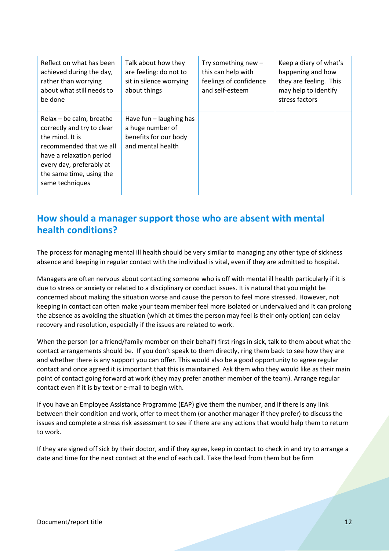| Reflect on what has been<br>achieved during the day,<br>rather than worrying<br>about what still needs to<br>be done                                                                                        | Talk about how they<br>are feeling: do not to<br>sit in silence worrying<br>about things    | Try something new $-$<br>this can help with<br>feelings of confidence<br>and self-esteem | Keep a diary of what's<br>happening and how<br>they are feeling. This<br>may help to identify<br>stress factors |
|-------------------------------------------------------------------------------------------------------------------------------------------------------------------------------------------------------------|---------------------------------------------------------------------------------------------|------------------------------------------------------------------------------------------|-----------------------------------------------------------------------------------------------------------------|
| Relax - be calm, breathe<br>correctly and try to clear<br>the mind. It is<br>recommended that we all<br>have a relaxation period<br>every day, preferably at<br>the same time, using the<br>same techniques | Have fun $-$ laughing has<br>a huge number of<br>benefits for our body<br>and mental health |                                                                                          |                                                                                                                 |

### **How should a manager support those who are absent with mental health conditions?**

The process for managing mental ill health should be very similar to managing any other type of sickness absence and keeping in regular contact with the individual is vital, even if they are admitted to hospital.

Managers are often nervous about contacting someone who is off with mental ill health particularly if it is due to stress or anxiety or related to a disciplinary or conduct issues. It is natural that you might be concerned about making the situation worse and cause the person to feel more stressed. However, not keeping in contact can often make your team member feel more isolated or undervalued and it can prolong the absence as avoiding the situation (which at times the person may feel is their only option) can delay recovery and resolution, especially if the issues are related to work.

When the person (or a friend/family member on their behalf) first rings in sick, talk to them about what the contact arrangements should be. If you don't speak to them directly, ring them back to see how they are and whether there is any support you can offer. This would also be a good opportunity to agree regular contact and once agreed it is important that this is maintained. Ask them who they would like as their main point of contact going forward at work (they may prefer another member of the team). Arrange regular contact even if it is by text or e-mail to begin with.

If you have an Employee Assistance Programme (EAP) give them the number, and if there is any link between their condition and work, offer to meet them (or another manager if they prefer) to discuss the issues and complete a stress risk assessment to see if there are any actions that would help them to return to work.

If they are signed off sick by their doctor, and if they agree, keep in contact to check in and try to arrange a date and time for the next contact at the end of each call. Take the lead from them but be firm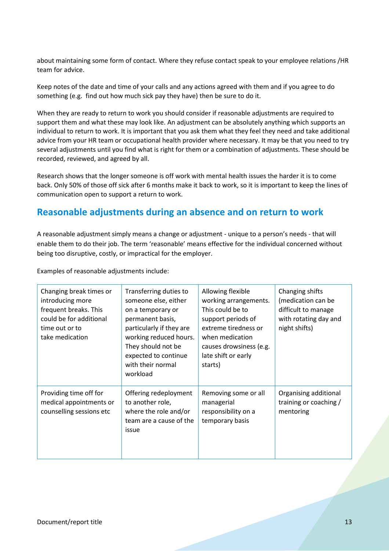about maintaining some form of contact. Where they refuse contact speak to your employee relations /HR team for advice.

Keep notes of the date and time of your calls and any actions agreed with them and if you agree to do something (e.g. find out how much sick pay they have) then be sure to do it.

When they are ready to return to work you should consider if reasonable adjustments are required to support them and what these may look like. An adjustment can be absolutely anything which supports an individual to return to work. It is important that you ask them what they feel they need and take additional advice from your HR team or occupational health provider where necessary. It may be that you need to try several adjustments until you find what is right for them or a combination of adjustments. These should be recorded, reviewed, and agreed by all.

Research shows that the longer someone is off work with mental health issues the harder it is to come back. Only 50% of those off sick after 6 months make it back to work, so it is important to keep the lines of communication open to support a return to work.

### **Reasonable adjustments during an absence and on return to work**

A reasonable adjustment simply means a change or adjustment - unique to a person's needs - that will enable them to do their job. The term 'reasonable' means effective for the individual concerned without being too disruptive, costly, or impractical for the employer.

| Changing break times or<br>introducing more<br>frequent breaks. This<br>could be for additional<br>time out or to<br>take medication | Transferring duties to<br>someone else, either<br>on a temporary or<br>permanent basis,<br>particularly if they are<br>working reduced hours.<br>They should not be<br>expected to continue<br>with their normal<br>workload | Allowing flexible<br>working arrangements.<br>This could be to<br>support periods of<br>extreme tiredness or<br>when medication<br>causes drowsiness (e.g.<br>late shift or early<br>starts) | Changing shifts<br>(medication can be<br>difficult to manage<br>with rotating day and<br>night shifts) |
|--------------------------------------------------------------------------------------------------------------------------------------|------------------------------------------------------------------------------------------------------------------------------------------------------------------------------------------------------------------------------|----------------------------------------------------------------------------------------------------------------------------------------------------------------------------------------------|--------------------------------------------------------------------------------------------------------|
| Providing time off for<br>medical appointments or<br>counselling sessions etc                                                        | Offering redeployment<br>to another role,<br>where the role and/or<br>team are a cause of the<br>issue                                                                                                                       | Removing some or all<br>managerial<br>responsibility on a<br>temporary basis                                                                                                                 | Organising additional<br>training or coaching /<br>mentoring                                           |

Examples of reasonable adjustments include: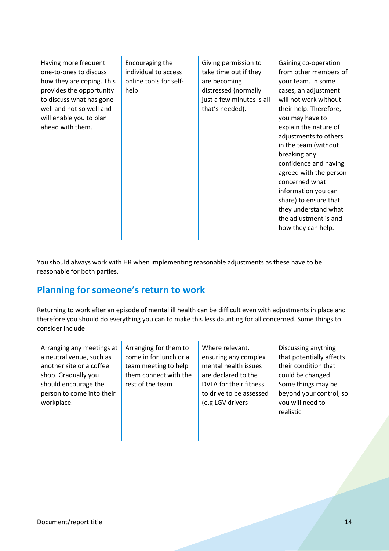| Having more frequent<br>one-to-ones to discuss<br>how they are coping. This<br>provides the opportunity<br>to discuss what has gone<br>well and not so well and<br>will enable you to plan<br>ahead with them. | Encouraging the<br>individual to access<br>online tools for self-<br>help | Giving permission to<br>take time out if they<br>are becoming<br>distressed (normally<br>just a few minutes is all<br>that's needed). | Gaining co-operation<br>from other members of<br>your team. In some<br>cases, an adjustment<br>will not work without<br>their help. Therefore,<br>you may have to<br>explain the nature of<br>adjustments to others<br>in the team (without<br>breaking any<br>confidence and having<br>agreed with the person<br>concerned what<br>information you can<br>share) to ensure that<br>they understand what<br>the adjustment is and<br>how they can help. |
|----------------------------------------------------------------------------------------------------------------------------------------------------------------------------------------------------------------|---------------------------------------------------------------------------|---------------------------------------------------------------------------------------------------------------------------------------|---------------------------------------------------------------------------------------------------------------------------------------------------------------------------------------------------------------------------------------------------------------------------------------------------------------------------------------------------------------------------------------------------------------------------------------------------------|
|----------------------------------------------------------------------------------------------------------------------------------------------------------------------------------------------------------------|---------------------------------------------------------------------------|---------------------------------------------------------------------------------------------------------------------------------------|---------------------------------------------------------------------------------------------------------------------------------------------------------------------------------------------------------------------------------------------------------------------------------------------------------------------------------------------------------------------------------------------------------------------------------------------------------|

You should always work with HR when implementing reasonable adjustments as these have to be reasonable for both parties.

### **Planning for someone's return to work**

Returning to work after an episode of mental ill health can be difficult even with adjustments in place and therefore you should do everything you can to make this less daunting for all concerned. Some things to consider include:

| Arranging any meetings at<br>a neutral venue, such as<br>another site or a coffee<br>shop. Gradually you<br>should encourage the<br>person to come into their<br>workplace. | Arranging for them to<br>come in for lunch or a<br>team meeting to help<br>them connect with the<br>rest of the team | Where relevant,<br>ensuring any complex<br>mental health issues<br>are declared to the<br>DVLA for their fitness<br>to drive to be assessed<br>(e.g LGV drivers | Discussing anything<br>that potentially affects<br>their condition that<br>could be changed.<br>Some things may be<br>beyond your control, so<br>you will need to<br>realistic |
|-----------------------------------------------------------------------------------------------------------------------------------------------------------------------------|----------------------------------------------------------------------------------------------------------------------|-----------------------------------------------------------------------------------------------------------------------------------------------------------------|--------------------------------------------------------------------------------------------------------------------------------------------------------------------------------|
|-----------------------------------------------------------------------------------------------------------------------------------------------------------------------------|----------------------------------------------------------------------------------------------------------------------|-----------------------------------------------------------------------------------------------------------------------------------------------------------------|--------------------------------------------------------------------------------------------------------------------------------------------------------------------------------|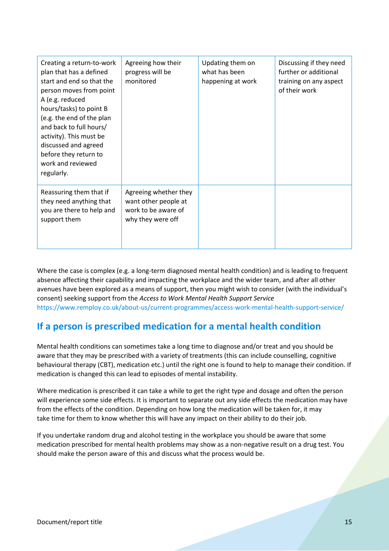| Creating a return-to-work<br>plan that has a defined<br>start and end so that the<br>person moves from point<br>A (e.g. reduced<br>hours/tasks) to point B<br>(e.g. the end of the plan<br>and back to full hours/<br>activity). This must be<br>discussed and agreed<br>before they return to<br>work and reviewed<br>regularly. | Agreeing how their<br>progress will be<br>monitored                                       | Updating them on<br>what has been<br>happening at work | Discussing if they need<br>further or additional<br>training on any aspect<br>of their work |
|-----------------------------------------------------------------------------------------------------------------------------------------------------------------------------------------------------------------------------------------------------------------------------------------------------------------------------------|-------------------------------------------------------------------------------------------|--------------------------------------------------------|---------------------------------------------------------------------------------------------|
| Reassuring them that if<br>they need anything that<br>you are there to help and<br>support them                                                                                                                                                                                                                                   | Agreeing whether they<br>want other people at<br>work to be aware of<br>why they were off |                                                        |                                                                                             |

Where the case is complex (e.g. a long-term diagnosed mental health condition) and is leading to frequent absence affecting their capability and impacting the workplace and the wider team, and after all other avenues have been explored as a means of support, then you might wish to consider (with the individual's consent) seeking support from the *Access to Work Mental Health Support Service* <https://www.remploy.co.uk/about-us/current-programmes/access-work-mental-health-support-service/>

## **If a person is prescribed medication for a mental health condition**

Mental health conditions can sometimes take a long time to diagnose and/or treat and you should be aware that they may be prescribed with a variety of treatments (this can include counselling, cognitive behavioural therapy (CBT), medication etc.) until the right one is found to help to manage their condition. If medication is changed this can lead to episodes of mental instability.

Where medication is prescribed it can take a while to get the right type and dosage and often the person will experience some side effects. It is important to separate out any side effects the medication may have from the effects of the condition. Depending on how long the medication will be taken for, it may take time for them to know whether this will have any impact on their ability to do their job.

If you undertake random drug and alcohol testing in the workplace you should be aware that some medication prescribed for mental health problems may show as a non-negative result on a drug test. You should make the person aware of this and discuss what the process would be.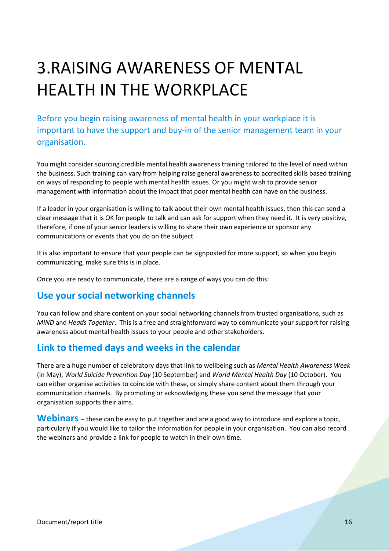# <span id="page-15-0"></span>3.RAISING AWARENESS OF MENTAL HEALTH IN THE WORKPLACE

Before you begin raising awareness of mental health in your workplace it is important to have the support and buy-in of the senior management team in your organisation.

You might consider sourcing credible mental health awareness training tailored to the level of need within the business. Such training can vary from helping raise general awareness to accredited skills based training on ways of responding to people with mental health issues. Or you might wish to provide senior management with information about the impact that poor mental health can have on the business.

If a leader in your organisation is willing to talk about their own mental health issues, then this can send a clear message that it is OK for people to talk and can ask for support when they need it. It is very positive, therefore, if one of your senior leaders is willing to share their own experience or sponsor any communications or events that you do on the subject.

It is also important to ensure that your people can be signposted for more support, so when you begin communicating, make sure this is in place.

Once you are ready to communicate, there are a range of ways you can do this:

#### **Use your social networking channels**

You can follow and share content on your social networking channels from trusted organisations, such as *MIND* and *Heads Together*. This is a free and straightforward way to communicate your support for raising awareness about mental health issues to your people and other stakeholders.

#### **Link to themed days and weeks in the calendar**

There are a huge number of celebratory days that link to wellbeing such as *Mental Health Awareness Week* (in May), *World Suicide Prevention Day* (10 September) and *World Mental Health Day* (10 October). You can either organise activities to coincide with these, or simply share content about them through your communication channels. By promoting or acknowledging these you send the message that your organisation supports their aims.

Webinars – these can be easy to put together and are a good way to introduce and explore a topic, particularly if you would like to tailor the information for people in your organisation. You can also record the webinars and provide a link for people to watch in their own time.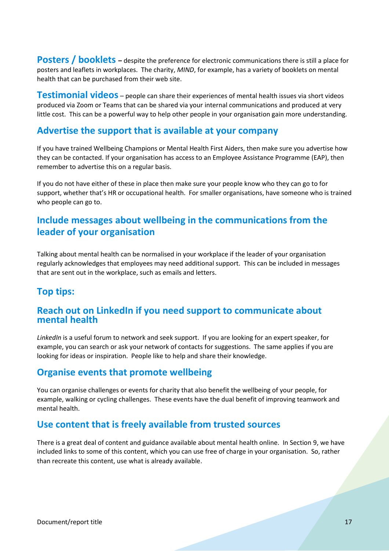**Posters / booklets** – despite the preference for electronic communications there is still a place for posters and leaflets in workplaces. The charity, *MIND*, for example, has a variety of booklets on mental health that can be purchased from their web site.

**Testimonial videos** – people can share their experiences of mental health issues via short videos produced via Zoom or Teams that can be shared via your internal communications and produced at very little cost. This can be a powerful way to help other people in your organisation gain more understanding.

#### **Advertise the support that is available at your company**

If you have trained Wellbeing Champions or Mental Health First Aiders, then make sure you advertise how they can be contacted. If your organisation has access to an Employee Assistance Programme (EAP), then remember to advertise this on a regular basis.

If you do not have either of these in place then make sure your people know who they can go to for support, whether that's HR or occupational health. For smaller organisations, have someone who is trained who people can go to.

### **Include messages about wellbeing in the communications from the leader of your organisation**

Talking about mental health can be normalised in your workplace if the leader of your organisation regularly acknowledges that employees may need additional support. This can be included in messages that are sent out in the workplace, such as emails and letters.

#### **Top tips:**

#### **Reach out on LinkedIn if you need support to communicate about mental health**

*LinkedIn* is a useful forum to network and seek support. If you are looking for an expert speaker, for example, you can search or ask your network of contacts for suggestions. The same applies if you are looking for ideas or inspiration. People like to help and share their knowledge.

#### **Organise events that promote wellbeing**

You can organise challenges or events for charity that also benefit the wellbeing of your people, for example, walking or cycling challenges. These events have the dual benefit of improving teamwork and mental health.

#### **Use content that is freely available from trusted sources**

There is a great deal of content and guidance available about mental health online. In Section 9, we have included links to some of this content, which you can use free of charge in your organisation. So, rather than recreate this content, use what is already available.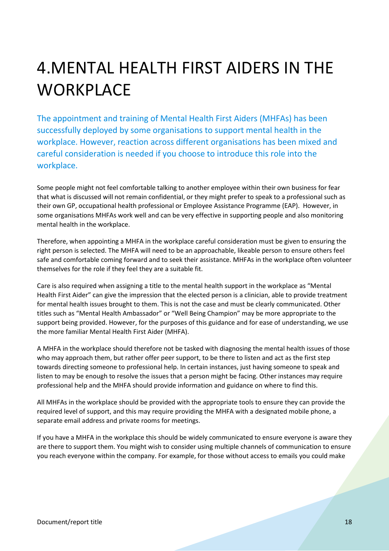## <span id="page-17-0"></span>4.MENTAL HEALTH FIRST AIDERS IN THE **WORKPLACE**

The appointment and training of Mental Health First Aiders (MHFAs) has been successfully deployed by some organisations to support mental health in the workplace. However, reaction across different organisations has been mixed and careful consideration is needed if you choose to introduce this role into the workplace.

Some people might not feel comfortable talking to another employee within their own business for fear that what is discussed will not remain confidential, or they might prefer to speak to a professional such as their own GP, occupational health professional or Employee Assistance Programme (EAP). However, in some organisations MHFAs work well and can be very effective in supporting people and also monitoring mental health in the workplace.

Therefore, when appointing a MHFA in the workplace careful consideration must be given to ensuring the right person is selected. The MHFA will need to be an approachable, likeable person to ensure others feel safe and comfortable coming forward and to seek their assistance. MHFAs in the workplace often volunteer themselves for the role if they feel they are a suitable fit.

Care is also required when assigning a title to the mental health support in the workplace as "Mental Health First Aider" can give the impression that the elected person is a clinician, able to provide treatment for mental health issues brought to them. This is not the case and must be clearly communicated. Other titles such as "Mental Health Ambassador" or "Well Being Champion" may be more appropriate to the support being provided. However, for the purposes of this guidance and for ease of understanding, we use the more familiar Mental Health First Aider (MHFA).

A MHFA in the workplace should therefore not be tasked with diagnosing the mental health issues of those who may approach them, but rather offer peer support, to be there to listen and act as the first step towards directing someone to professional help. In certain instances, just having someone to speak and listen to may be enough to resolve the issues that a person might be facing. Other instances may require professional help and the MHFA should provide information and guidance on where to find this.

All MHFAs in the workplace should be provided with the appropriate tools to ensure they can provide the required level of support, and this may require providing the MHFA with a designated mobile phone, a separate email address and private rooms for meetings.

If you have a MHFA in the workplace this should be widely communicated to ensure everyone is aware they are there to support them. You might wish to consider using multiple channels of communication to ensure you reach everyone within the company. For example, for those without access to emails you could make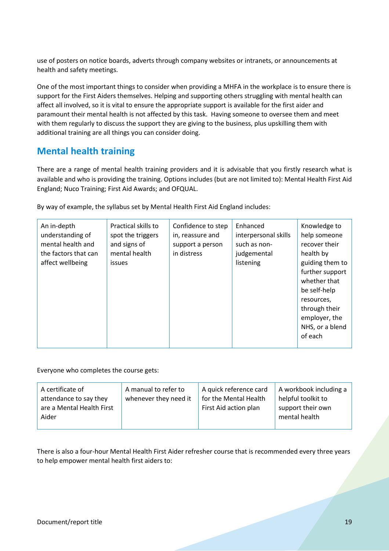use of posters on notice boards, adverts through company websites or intranets, or announcements at health and safety meetings.

One of the most important things to consider when providing a MHFA in the workplace is to ensure there is support for the First Aiders themselves. Helping and supporting others struggling with mental health can affect all involved, so it is vital to ensure the appropriate support is available for the first aider and paramount their mental health is not affected by this task. Having someone to oversee them and meet with them regularly to discuss the support they are giving to the business, plus upskilling them with additional training are all things you can consider doing.

#### <span id="page-18-0"></span>**Mental health training**

There are a range of mental health training providers and it is advisable that you firstly research what is available and who is providing the training. Options includes (but are not limited to): Mental Health First Aid England; Nuco Training; First Aid Awards; and OFQUAL.

|  | By way of example, the syllabus set by Mental Health First Aid England includes: |  |  |  |  |
|--|----------------------------------------------------------------------------------|--|--|--|--|
|  |                                                                                  |  |  |  |  |

| An in-depth<br>Practical skills to<br>understanding of<br>spot the triggers<br>mental health and<br>and signs of<br>mental health<br>the factors that can<br>affect wellbeing<br><b>issues</b> | Confidence to step<br>in, reassure and<br>support a person<br>in distress | Enhanced<br>interpersonal skills<br>such as non-<br>judgemental<br>listening | Knowledge to<br>help someone<br>recover their<br>health by<br>guiding them to<br>further support<br>whether that<br>be self-help<br>resources,<br>through their<br>employer, the<br>NHS, or a blend<br>of each |
|------------------------------------------------------------------------------------------------------------------------------------------------------------------------------------------------|---------------------------------------------------------------------------|------------------------------------------------------------------------------|----------------------------------------------------------------------------------------------------------------------------------------------------------------------------------------------------------------|
|------------------------------------------------------------------------------------------------------------------------------------------------------------------------------------------------|---------------------------------------------------------------------------|------------------------------------------------------------------------------|----------------------------------------------------------------------------------------------------------------------------------------------------------------------------------------------------------------|

Everyone who completes the course gets:

| A certificate of<br>attendance to say they<br>are a Mental Health First<br>Aider | A manual to refer to<br>whenever they need it | A quick reference card<br>for the Mental Health<br>First Aid action plan | A workbook including a<br>helpful toolkit to<br>support their own<br>mental health |
|----------------------------------------------------------------------------------|-----------------------------------------------|--------------------------------------------------------------------------|------------------------------------------------------------------------------------|
|                                                                                  |                                               |                                                                          |                                                                                    |

There is also a four-hour Mental Health First Aider refresher course that is recommended every three years to help empower mental health first aiders to: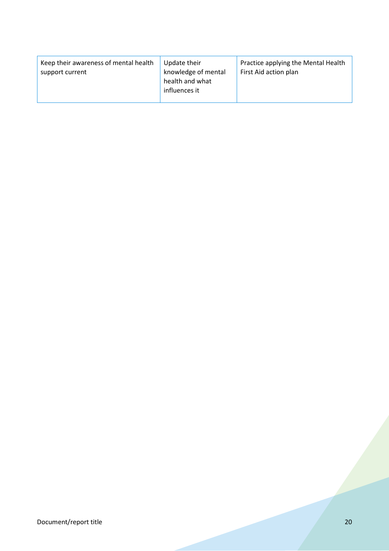| Keep their awareness of mental health<br>support current | Update their<br>knowledge of mental<br>health and what<br>influences it | Practice applying the Mental Health<br>First Aid action plan |
|----------------------------------------------------------|-------------------------------------------------------------------------|--------------------------------------------------------------|
|----------------------------------------------------------|-------------------------------------------------------------------------|--------------------------------------------------------------|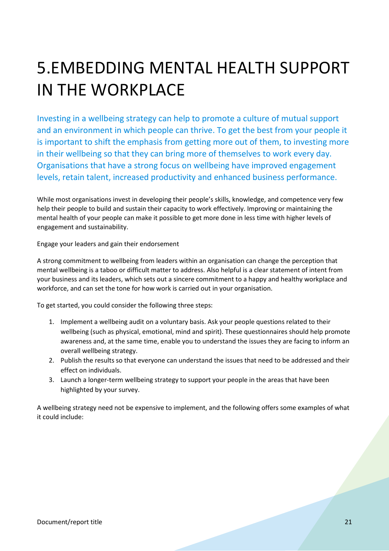## <span id="page-20-0"></span>5.EMBEDDING MENTAL HEALTH SUPPORT IN THE WORKPLACE

Investing in a wellbeing strategy can help to promote a culture of mutual support and an environment in which people can thrive. To get the best from your people it is important to shift the emphasis from getting more out of them, to investing more in their wellbeing so that they can bring more of themselves to work every day. Organisations that have a strong focus on wellbeing have improved engagement levels, retain talent, increased productivity and enhanced business performance.

While most organisations invest in developing their people's skills, knowledge, and competence very few help their people to build and sustain their capacity to work effectively. Improving or maintaining the mental health of your people can make it possible to get more done in less time with higher levels of engagement and sustainability.

Engage your leaders and gain their endorsement

A strong commitment to wellbeing from leaders within an organisation can change the perception that mental wellbeing is a taboo or difficult matter to address. Also helpful is a clear statement of intent from your business and its leaders, which sets out a sincere commitment to a happy and healthy workplace and workforce, and can set the tone for how work is carried out in your organisation.

To get started, you could consider the following three steps:

- 1. Implement a wellbeing audit on a voluntary basis. Ask your people questions related to their wellbeing (such as physical, emotional, mind and spirit). These questionnaires should help promote awareness and, at the same time, enable you to understand the issues they are facing to inform an overall wellbeing strategy.
- 2. Publish the results so that everyone can understand the issues that need to be addressed and their effect on individuals.
- 3. Launch a longer-term wellbeing strategy to support your people in the areas that have been highlighted by your survey.

A wellbeing strategy need not be expensive to implement, and the following offers some examples of what it could include: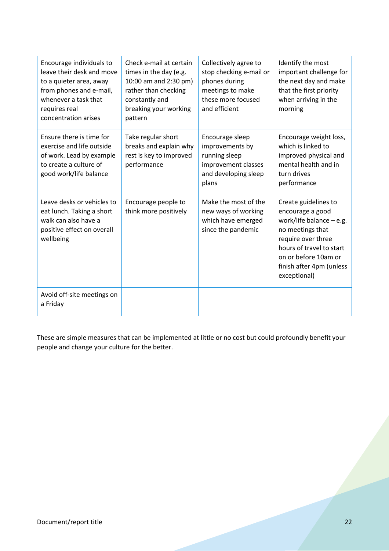| Encourage individuals to<br>leave their desk and move<br>to a quieter area, away<br>from phones and e-mail,<br>whenever a task that<br>requires real<br>concentration arises | Check e-mail at certain<br>times in the day (e.g.<br>10:00 am and 2:30 pm)<br>rather than checking<br>constantly and<br>breaking your working<br>pattern | Collectively agree to<br>stop checking e-mail or<br>phones during<br>meetings to make<br>these more focused<br>and efficient | Identify the most<br>important challenge for<br>the next day and make<br>that the first priority<br>when arriving in the<br>morning                                                                              |
|------------------------------------------------------------------------------------------------------------------------------------------------------------------------------|----------------------------------------------------------------------------------------------------------------------------------------------------------|------------------------------------------------------------------------------------------------------------------------------|------------------------------------------------------------------------------------------------------------------------------------------------------------------------------------------------------------------|
| Ensure there is time for<br>exercise and life outside<br>of work. Lead by example<br>to create a culture of<br>good work/life balance                                        | Take regular short<br>breaks and explain why<br>rest is key to improved<br>performance                                                                   | Encourage sleep<br>improvements by<br>running sleep<br>improvement classes<br>and developing sleep<br>plans                  | Encourage weight loss,<br>which is linked to<br>improved physical and<br>mental health and in<br>turn drives<br>performance                                                                                      |
| Leave desks or vehicles to<br>eat lunch. Taking a short<br>walk can also have a<br>positive effect on overall<br>wellbeing                                                   | Encourage people to<br>think more positively                                                                                                             | Make the most of the<br>new ways of working<br>which have emerged<br>since the pandemic                                      | Create guidelines to<br>encourage a good<br>work/life balance $-$ e.g.<br>no meetings that<br>require over three<br>hours of travel to start<br>on or before 10am or<br>finish after 4pm (unless<br>exceptional) |
| Avoid off-site meetings on<br>a Friday                                                                                                                                       |                                                                                                                                                          |                                                                                                                              |                                                                                                                                                                                                                  |

These are simple measures that can be implemented at little or no cost but could profoundly benefit your people and change your culture for the better.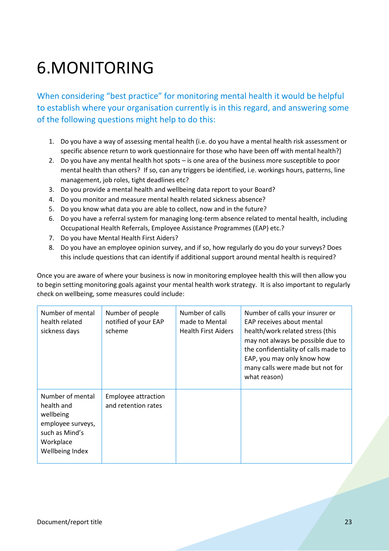# <span id="page-22-0"></span>6.MONITORING

When considering "best practice" for monitoring mental health it would be helpful to establish where your organisation currently is in this regard, and answering some of the following questions might help to do this:

- 1. Do you have a way of assessing mental health (i.e. do you have a mental health risk assessment or specific absence return to work questionnaire for those who have been off with mental health?)
- 2. Do you have any mental health hot spots is one area of the business more susceptible to poor mental health than others? If so, can any triggers be identified, i.e. workings hours, patterns, line management, job roles, tight deadlines etc?
- 3. Do you provide a mental health and wellbeing data report to your Board?
- 4. Do you monitor and measure mental health related sickness absence?
- 5. Do you know what data you are able to collect, now and in the future?
- 6. Do you have a referral system for managing long-term absence related to mental health, including Occupational Health Referrals, Employee Assistance Programmes (EAP) etc.?
- 7. Do you have Mental Health First Aiders?
- 8. Do you have an employee opinion survey, and if so, how regularly do you do your surveys? Does this include questions that can identify if additional support around mental health is required?

Once you are aware of where your business is now in monitoring employee health this will then allow you to begin setting monitoring goals against your mental health work strategy. It is also important to regularly check on wellbeing, some measures could include:

| Number of mental<br>health related<br>sickness days                                                                | Number of people<br>notified of your EAP<br>scheme | Number of calls<br>made to Mental<br><b>Health First Aiders</b> | Number of calls your insurer or<br>EAP receives about mental<br>health/work related stress (this<br>may not always be possible due to<br>the confidentiality of calls made to<br>EAP, you may only know how<br>many calls were made but not for<br>what reason) |
|--------------------------------------------------------------------------------------------------------------------|----------------------------------------------------|-----------------------------------------------------------------|-----------------------------------------------------------------------------------------------------------------------------------------------------------------------------------------------------------------------------------------------------------------|
| Number of mental<br>health and<br>wellbeing<br>employee surveys,<br>such as Mind's<br>Workplace<br>Wellbeing Index | Employee attraction<br>and retention rates         |                                                                 |                                                                                                                                                                                                                                                                 |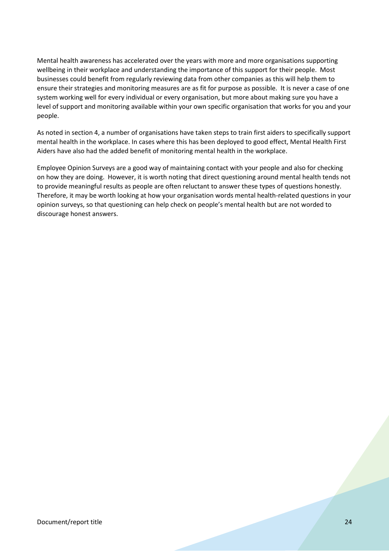Mental health awareness has accelerated over the years with more and more organisations supporting wellbeing in their workplace and understanding the importance of this support for their people. Most businesses could benefit from regularly reviewing data from other companies as this will help them to ensure their strategies and monitoring measures are as fit for purpose as possible. It is never a case of one system working well for every individual or every organisation, but more about making sure you have a level of support and monitoring available within your own specific organisation that works for you and your people.

As noted in section 4, a number of organisations have taken steps to train first aiders to specifically support mental health in the workplace. In cases where this has been deployed to good effect, Mental Health First Aiders have also had the added benefit of monitoring mental health in the workplace.

Employee Opinion Surveys are a good way of maintaining contact with your people and also for checking on how they are doing. However, it is worth noting that direct questioning around mental health tends not to provide meaningful results as people are often reluctant to answer these types of questions honestly. Therefore, it may be worth looking at how your organisation words mental health-related questions in your opinion surveys, so that questioning can help check on people's mental health but are not worded to discourage honest answers.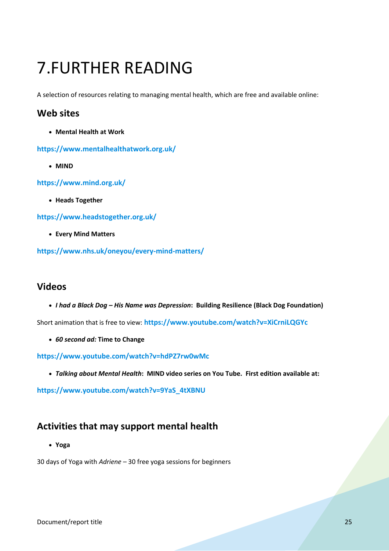## <span id="page-24-0"></span>7.FURTHER READING

A selection of resources relating to managing mental health, which are free and available online:

#### <span id="page-24-1"></span>**Web sites**

• **Mental Health at Work**

**<https://www.mentalhealthatwork.org.uk/>**

• **MIND** 

**<https://www.mind.org.uk/>**

• **Heads Together** 

**<https://www.headstogether.org.uk/>**

• **Every Mind Matters**

**<https://www.nhs.uk/oneyou/every-mind-matters/>**

#### <span id="page-24-2"></span>**Videos**

• *I had a Black Dog – His Name was Depression***: Building Resilience (Black Dog Foundation)**

Short animation that is free to view: **<https://www.youtube.com/watch?v=XiCrniLQGYc>**

• *60 second ad:* **Time to Change**

**<https://www.youtube.com/watch?v=hdPZ7rw0wMc>**

• *Talking about Mental Health***: MIND video series on You Tube. First edition available at:** 

**[https://www.youtube.com/watch?v=9YaS\\_4tXBNU](https://www.youtube.com/watch?v=9YaS_4tXBNU)**

#### <span id="page-24-3"></span>**Activities that may support mental health**

• **Yoga**

30 days of Yoga with *Adriene* – 30 free yoga sessions for beginners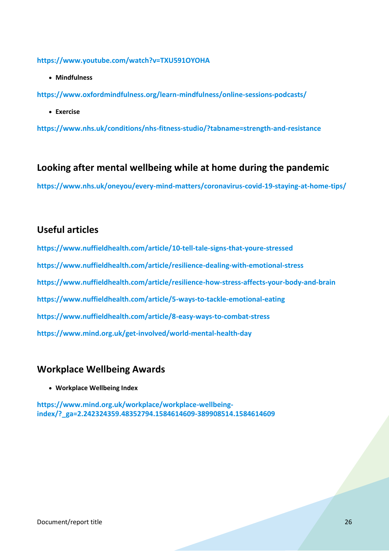**<https://www.youtube.com/watch?v=TXU591OYOHA>**

• **Mindfulness**

**<https://www.oxfordmindfulness.org/learn-mindfulness/online-sessions-podcasts/>**

• **Exercise** 

**<https://www.nhs.uk/conditions/nhs-fitness-studio/?tabname=strength-and-resistance>**

#### <span id="page-25-0"></span>**Looking after mental wellbeing while at home during the pandemic**

**<https://www.nhs.uk/oneyou/every-mind-matters/coronavirus-covid-19-staying-at-home-tips/>**

#### <span id="page-25-1"></span>**Useful articles**

**<https://www.nuffieldhealth.com/article/10-tell-tale-signs-that-youre-stressed> <https://www.nuffieldhealth.com/article/resilience-dealing-with-emotional-stress> <https://www.nuffieldhealth.com/article/resilience-how-stress-affects-your-body-and-brain> <https://www.nuffieldhealth.com/article/5-ways-to-tackle-emotional-eating> <https://www.nuffieldhealth.com/article/8-easy-ways-to-combat-stress> <https://www.mind.org.uk/get-involved/world-mental-health-day>**

#### <span id="page-25-2"></span>**Workplace Wellbeing Awards**

• **Workplace Wellbeing Index** 

**[https://www.mind.org.uk/workplace/workplace-wellbeing](https://www.mind.org.uk/workplace/workplace-wellbeing-index/?_ga=2.242324359.48352794.1584614609-389908514.1584614609)[index/?\\_ga=2.242324359.48352794.1584614609-389908514.1584614609](https://www.mind.org.uk/workplace/workplace-wellbeing-index/?_ga=2.242324359.48352794.1584614609-389908514.1584614609)**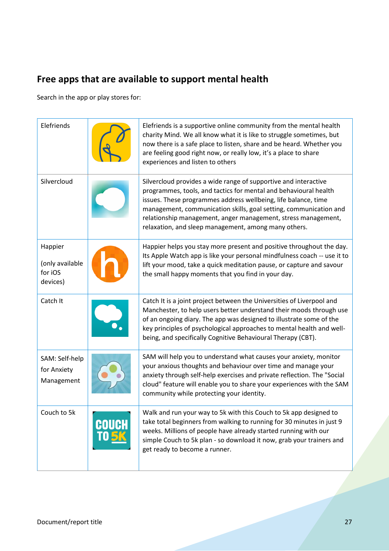## <span id="page-26-0"></span>**Free apps that are available to support mental health**

Search in the app or play stores for:

| Elefriends                                        |       | Elefriends is a supportive online community from the mental health<br>charity Mind. We all know what it is like to struggle sometimes, but<br>now there is a safe place to listen, share and be heard. Whether you<br>are feeling good right now, or really low, it's a place to share<br>experiences and listen to others                                                                          |
|---------------------------------------------------|-------|-----------------------------------------------------------------------------------------------------------------------------------------------------------------------------------------------------------------------------------------------------------------------------------------------------------------------------------------------------------------------------------------------------|
| Silvercloud                                       |       | Silvercloud provides a wide range of supportive and interactive<br>programmes, tools, and tactics for mental and behavioural health<br>issues. These programmes address wellbeing, life balance, time<br>management, communication skills, goal setting, communication and<br>relationship management, anger management, stress management,<br>relaxation, and sleep management, among many others. |
| Happier<br>(only available<br>for iOS<br>devices) |       | Happier helps you stay more present and positive throughout the day.<br>Its Apple Watch app is like your personal mindfulness coach -- use it to<br>lift your mood, take a quick meditation pause, or capture and savour<br>the small happy moments that you find in your day.                                                                                                                      |
| Catch It                                          |       | Catch It is a joint project between the Universities of Liverpool and<br>Manchester, to help users better understand their moods through use<br>of an ongoing diary. The app was designed to illustrate some of the<br>key principles of psychological approaches to mental health and well-<br>being, and specifically Cognitive Behavioural Therapy (CBT).                                        |
| SAM: Self-help<br>for Anxiety<br>Management       |       | SAM will help you to understand what causes your anxiety, monitor<br>your anxious thoughts and behaviour over time and manage your<br>anxiety through self-help exercises and private reflection. The "Social<br>cloud" feature will enable you to share your experiences with the SAM<br>community while protecting your identity.                                                                 |
| Couch to 5k                                       | COUCH | Walk and run your way to 5k with this Couch to 5k app designed to<br>take total beginners from walking to running for 30 minutes in just 9<br>weeks. Millions of people have already started running with our<br>simple Couch to 5k plan - so download it now, grab your trainers and<br>get ready to become a runner.                                                                              |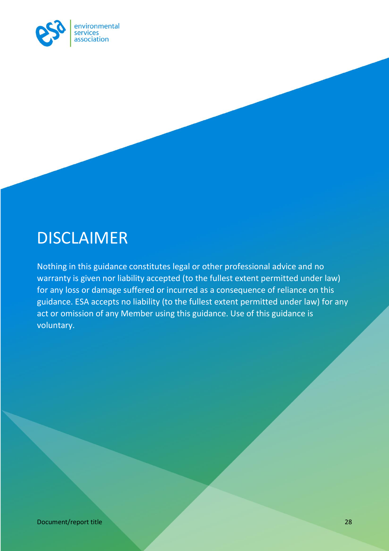

## <span id="page-27-0"></span>**DISCLAIMER**

Nothing in this guidance constitutes legal or other professional advice and no warranty is given nor liability accepted (to the fullest extent permitted under law) for any loss or damage suffered or incurred as a consequence of reliance on this guidance. ESA accepts no liability (to the fullest extent permitted under law) for any act or omission of any Member using this guidance. Use of this guidance is voluntary.